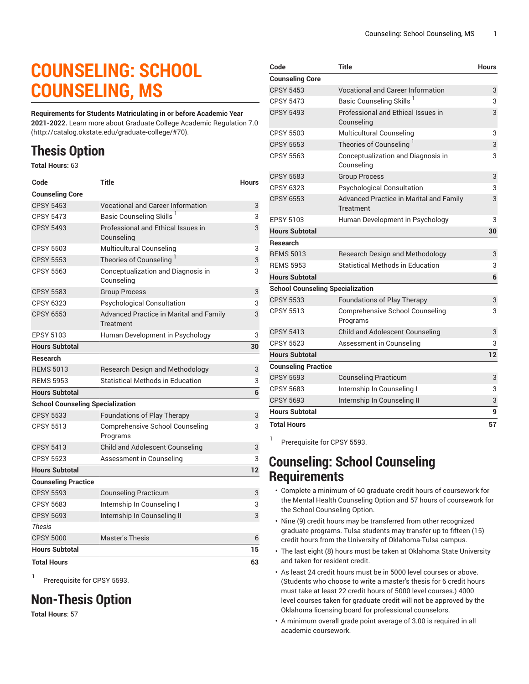# **COUNSELING: SCHOOL COUNSELING, MS**

**Requirements for Students Matriculating in or before Academic Year 2021-2022.** Learn more about [Graduate College Academic Regulation 7.0](http://catalog.okstate.edu/graduate-college/#70) (<http://catalog.okstate.edu/graduate-college/#70>).

## **Thesis Option**

**Total Hours:** 63

| Code                                    | <b>Title</b>                                                | <b>Hours</b> |
|-----------------------------------------|-------------------------------------------------------------|--------------|
| <b>Counseling Core</b>                  |                                                             |              |
| <b>CPSY 5453</b>                        | <b>Vocational and Career Information</b>                    | 3            |
| <b>CPSY 5473</b>                        | Basic Counseling Skills                                     | 3            |
| <b>CPSY 5493</b>                        | Professional and Ethical Issues in<br>Counseling            | 3            |
| <b>CPSY 5503</b>                        | Multicultural Counseling                                    | 3            |
| <b>CPSY 5553</b>                        | Theories of Counseling                                      | 3            |
| <b>CPSY 5563</b>                        | Conceptualization and Diagnosis in<br>Counseling            | 3            |
| <b>CPSY 5583</b>                        | <b>Group Process</b>                                        | 3            |
| CPSY 6323                               | <b>Psychological Consultation</b>                           | 3            |
| <b>CPSY 6553</b>                        | Advanced Practice in Marital and Family<br><b>Treatment</b> | 3            |
| <b>EPSY 5103</b>                        | Human Development in Psychology                             | 3            |
| <b>Hours Subtotal</b>                   |                                                             | 30           |
| <b>Research</b>                         |                                                             |              |
| <b>RFMS 5013</b>                        | <b>Research Design and Methodology</b>                      | 3            |
| <b>REMS 5953</b>                        | Statistical Methods in Education                            | 3            |
| <b>Hours Subtotal</b>                   |                                                             | 6            |
| <b>School Counseling Specialization</b> |                                                             |              |
| <b>CPSY 5533</b>                        | Foundations of Play Therapy                                 | 3            |
| <b>CPSY 5513</b>                        | Comprehensive School Counseling<br>Programs                 | 3            |
| <b>CPSY 5413</b>                        | Child and Adolescent Counseling                             | 3            |
| CPSY 5523                               | Assessment in Counseling                                    | 3            |
| <b>Hours Subtotal</b>                   |                                                             | 12           |
| <b>Counseling Practice</b>              |                                                             |              |
| <b>CPSY 5593</b>                        | <b>Counseling Practicum</b>                                 | 3            |
| <b>CPSY 5683</b>                        | Internship In Counseling I                                  | 3            |
| <b>CPSY 5693</b>                        | Internship In Counseling II                                 | 3            |
| <b>Thesis</b>                           |                                                             |              |
| <b>CPSY 5000</b>                        | <b>Master's Thesis</b>                                      | 6            |
| <b>Hours Subtotal</b>                   |                                                             | 15           |
| <b>Total Hours</b>                      |                                                             | 63           |

1 Prerequisite for CPSY 5593.

## **Non-Thesis Option**

**Total Hours**: 57

| Code                                    | Title                                                       | <b>Hours</b> |
|-----------------------------------------|-------------------------------------------------------------|--------------|
| <b>Counseling Core</b>                  |                                                             |              |
| <b>CPSY 5453</b>                        | <b>Vocational and Career Information</b>                    | 3            |
| <b>CPSY 5473</b>                        | Basic Counseling Skills <sup>1</sup>                        | 3            |
| <b>CPSY 5493</b>                        | Professional and Ethical Issues in<br>Counseling            | 3            |
| <b>CPSY 5503</b>                        | Multicultural Counseling                                    | 3            |
| <b>CPSY 5553</b>                        | Theories of Counseling                                      | 3            |
| <b>CPSY 5563</b>                        | Conceptualization and Diagnosis in<br>Counseling            | 3            |
| <b>CPSY 5583</b>                        | <b>Group Process</b>                                        | 3            |
| CPSY 6323                               | <b>Psychological Consultation</b>                           | 3            |
| <b>CPSY 6553</b>                        | <b>Advanced Practice in Marital and Family</b><br>Treatment | 3            |
| <b>EPSY 5103</b>                        | Human Development in Psychology                             | 3            |
| <b>Hours Subtotal</b>                   |                                                             | 30           |
| <b>Research</b>                         |                                                             |              |
| <b>REMS 5013</b>                        | Research Design and Methodology                             | 3            |
| <b>REMS 5953</b>                        | <b>Statistical Methods in Education</b>                     | 3            |
| <b>Hours Subtotal</b>                   |                                                             | 6            |
| <b>School Counseling Specialization</b> |                                                             |              |
| <b>CPSY 5533</b>                        | Foundations of Play Therapy                                 | 3            |
| <b>CPSY 5513</b>                        | <b>Comprehensive School Counseling</b><br>Programs          | 3            |
| <b>CPSY 5413</b>                        | <b>Child and Adolescent Counseling</b>                      | 3            |
| CPSY 5523                               | Assessment in Counseling                                    | 3            |
| <b>Hours Subtotal</b>                   |                                                             | 12           |
| <b>Counseling Practice</b>              |                                                             |              |
| <b>CPSY 5593</b>                        | <b>Counseling Practicum</b>                                 | 3            |
| <b>CPSY 5683</b>                        | Internship In Counseling I                                  | 3            |
| <b>CPSY 5693</b>                        | Internship In Counseling II                                 | 3            |
| <b>Hours Subtotal</b>                   |                                                             | 9            |
| <b>Total Hours</b>                      |                                                             | 57           |
|                                         |                                                             |              |

Prerequisite for CPSY 5593.

1

#### **Counseling: School Counseling Requirements**

- Complete a minimum of 60 graduate credit hours of coursework for the Mental Health Counseling Option and 57 hours of coursework for the School Counseling Option.
- Nine (9) credit hours may be transferred from other recognized graduate programs. Tulsa students may transfer up to fifteen (15) credit hours from the University of Oklahoma-Tulsa campus.
- The last eight (8) hours must be taken at Oklahoma State University and taken for resident credit.
- As least 24 credit hours must be in 5000 level courses or above. (Students who choose to write a master's thesis for 6 credit hours must take at least 22 credit hours of 5000 level courses.) 4000 level courses taken for graduate credit will not be approved by the Oklahoma licensing board for professional counselors.
- A minimum overall grade point average of 3.00 is required in all academic coursework.